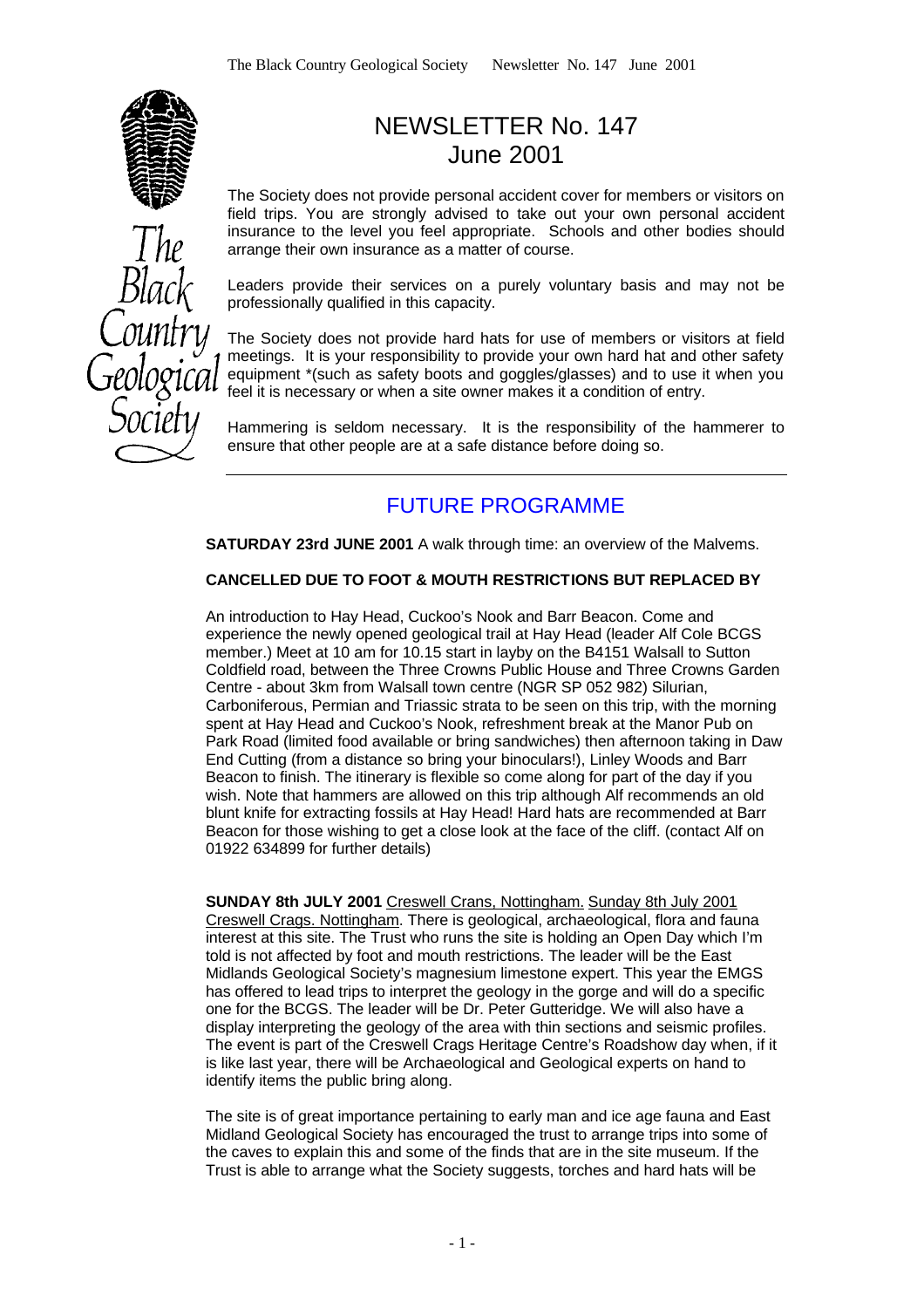

# NEWSLETTER No. 147 June 2001

The Society does not provide personal accident cover for members or visitors on field trips. You are strongly advised to take out your own personal accident insurance to the level you feel appropriate. Schools and other bodies should arrange their own insurance as a matter of course.

Leaders provide their services on a purely voluntary basis and may not be professionally qualified in this capacity.

The Society does not provide hard hats for use of members or visitors at field meetings. It is your responsibility to provide your own hard hat and other safety equipment \*(such as safety boots and goggles/glasses) and to use it when you feel it is necessary or when a site owner makes it a condition of entry.

Hammering is seldom necessary. It is the responsibility of the hammerer to ensure that other people are at a safe distance before doing so.

## FUTURE PROGRAMME

**SATURDAY 23rd JUNE 2001** A walk through time: an overview of the Malvems.

#### **CANCELLED DUE TO FOOT & MOUTH RESTRICTIONS BUT REPLACED BY**

An introduction to Hay Head, Cuckoo's Nook and Barr Beacon. Come and experience the newly opened geological trail at Hay Head (leader Alf Cole BCGS member.) Meet at 10 am for 10.15 start in layby on the B4151 Walsall to Sutton Coldfield road, between the Three Crowns Public House and Three Crowns Garden Centre - about 3km from Walsall town centre (NGR SP 052 982) Silurian, Carboniferous, Permian and Triassic strata to be seen on this trip, with the morning spent at Hay Head and Cuckoo's Nook, refreshment break at the Manor Pub on Park Road (limited food available or bring sandwiches) then afternoon taking in Daw End Cutting (from a distance so bring your binoculars!), Linley Woods and Barr Beacon to finish. The itinerary is flexible so come along for part of the day if you wish. Note that hammers are allowed on this trip although Alf recommends an old blunt knife for extracting fossils at Hay Head! Hard hats are recommended at Barr Beacon for those wishing to get a close look at the face of the cliff. (contact Alf on 01922 634899 for further details)

**SUNDAY 8th JULY 2001** Creswell Crans, Nottingham. Sunday 8th July 2001 Creswell Crags. Nottingham. There is geological, archaeological, flora and fauna interest at this site. The Trust who runs the site is holding an Open Day which I'm told is not affected by foot and mouth restrictions. The leader will be the East Midlands Geological Society's magnesium limestone expert. This year the EMGS has offered to lead trips to interpret the geology in the gorge and will do a specific one for the BCGS. The leader will be Dr. Peter Gutteridge. We will also have a display interpreting the geology of the area with thin sections and seismic profiles. The event is part of the Creswell Crags Heritage Centre's Roadshow day when, if it is like last year, there will be Archaeological and Geological experts on hand to identify items the public bring along.

The site is of great importance pertaining to early man and ice age fauna and East Midland Geological Society has encouraged the trust to arrange trips into some of the caves to explain this and some of the finds that are in the site museum. If the Trust is able to arrange what the Society suggests, torches and hard hats will be

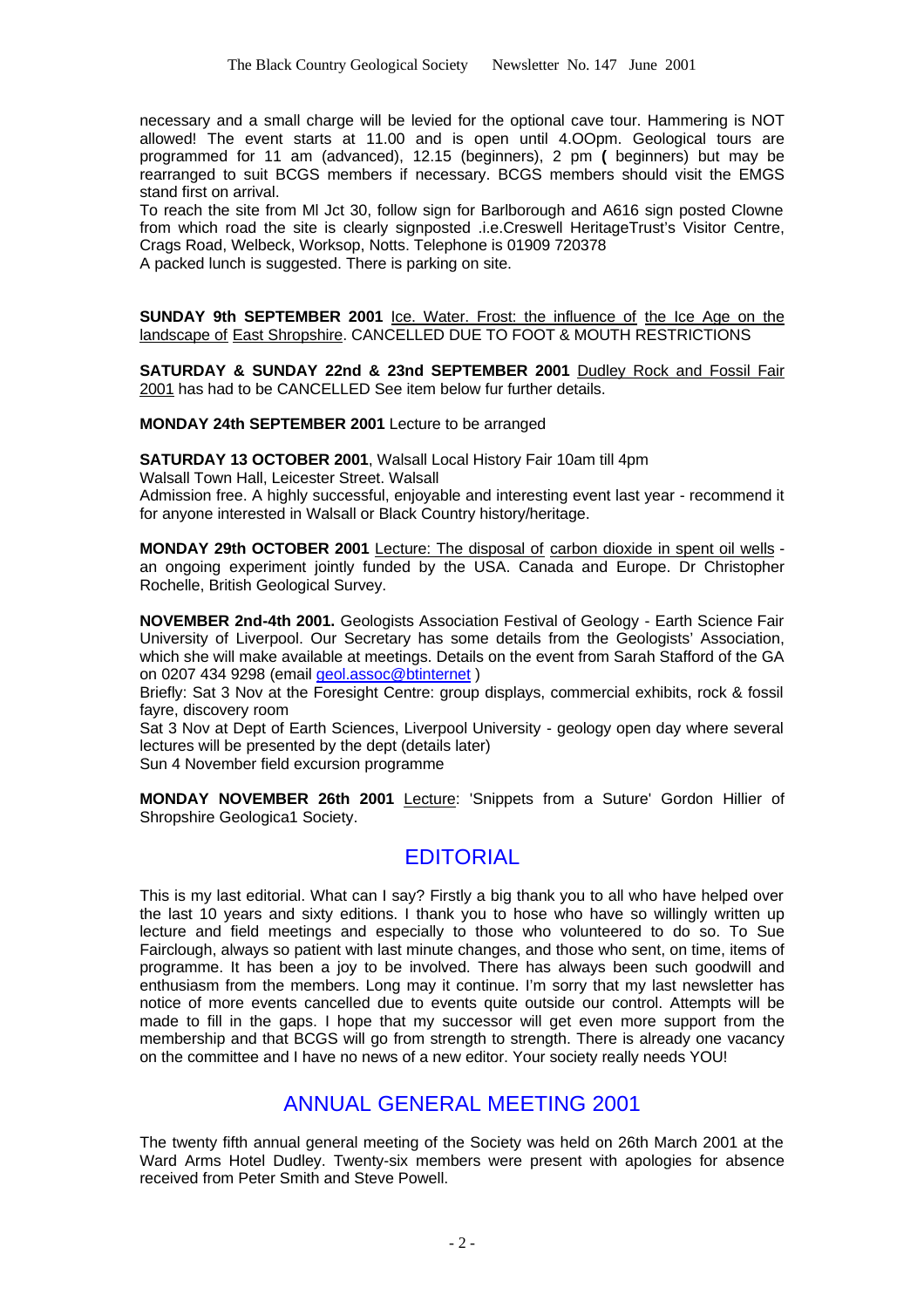necessary and a small charge will be levied for the optional cave tour. Hammering is NOT allowed! The event starts at 11.00 and is open until 4.OOpm. Geological tours are programmed for 11 am (advanced), 12.15 (beginners), 2 pm **(** beginners) but may be rearranged to suit BCGS members if necessary. BCGS members should visit the EMGS stand first on arrival.

To reach the site from Ml Jct 30, follow sign for Barlborough and A616 sign posted Clowne from which road the site is clearly signposted .i.e.Creswell HeritageTrust's Visitor Centre, Crags Road, Welbeck, Worksop, Notts. Telephone is 01909 720378 A packed lunch is suggested. There is parking on site.

**SUNDAY 9th SEPTEMBER 2001** Ice. Water. Frost: the influence of the Ice Age on the landscape of East Shropshire. CANCELLED DUE TO FOOT & MOUTH RESTRICTIONS

**SATURDAY & SUNDAY 22nd & 23nd SEPTEMBER 2001** Dudley Rock and Fossil Fair 2001 has had to be CANCELLED See item below fur further details.

**MONDAY 24th SEPTEMBER 2001** Lecture to be arranged

**SATURDAY 13 OCTOBER 2001**, Walsall Local History Fair 10am till 4pm

Walsall Town Hall, Leicester Street. Walsall

Admission free. A highly successful, enjoyable and interesting event last year - recommend it for anyone interested in Walsall or Black Country history/heritage.

**MONDAY 29th OCTOBER 2001** Lecture: The disposal of carbon dioxide in spent oil wells an ongoing experiment jointly funded by the USA. Canada and Europe. Dr Christopher Rochelle, British Geological Survey.

**NOVEMBER 2nd-4th 2001.** Geologists Association Festival of Geology - Earth Science Fair University of Liverpool. Our Secretary has some details from the Geologists' Association, which she will make available at meetings. Details on the event from Sarah Stafford of the GA on 0207 434 9298 (email geol.assoc@btinternet )

Briefly: Sat 3 Nov at the Foresight Centre: group displays, commercial exhibits, rock & fossil fayre, discovery room

Sat 3 Nov at Dept of Earth Sciences, Liverpool University - geology open day where several lectures will be presented by the dept (details later)

Sun 4 November field excursion programme

**MONDAY NOVEMBER 26th 2001** Lecture: 'Snippets from a Suture' Gordon Hillier of Shropshire Geologica1 Society.

### **EDITORIAL**

This is my last editorial. What can I say? Firstly a big thank you to all who have helped over the last 10 years and sixty editions. I thank you to hose who have so willingly written up lecture and field meetings and especially to those who volunteered to do so. To Sue Fairclough, always so patient with last minute changes, and those who sent, on time, items of programme. It has been a joy to be involved. There has always been such goodwill and enthusiasm from the members. Long may it continue. I'm sorry that my last newsletter has notice of more events cancelled due to events quite outside our control. Attempts will be made to fill in the gaps. I hope that my successor will get even more support from the membership and that BCGS will go from strength to strength. There is already one vacancy on the committee and I have no news of a new editor. Your society really needs YOU!

### ANNUAL GENERAL MEETING 2001

The twenty fifth annual general meeting of the Society was held on 26th March 2001 at the Ward Arms Hotel Dudley. Twenty-six members were present with apologies for absence received from Peter Smith and Steve Powell.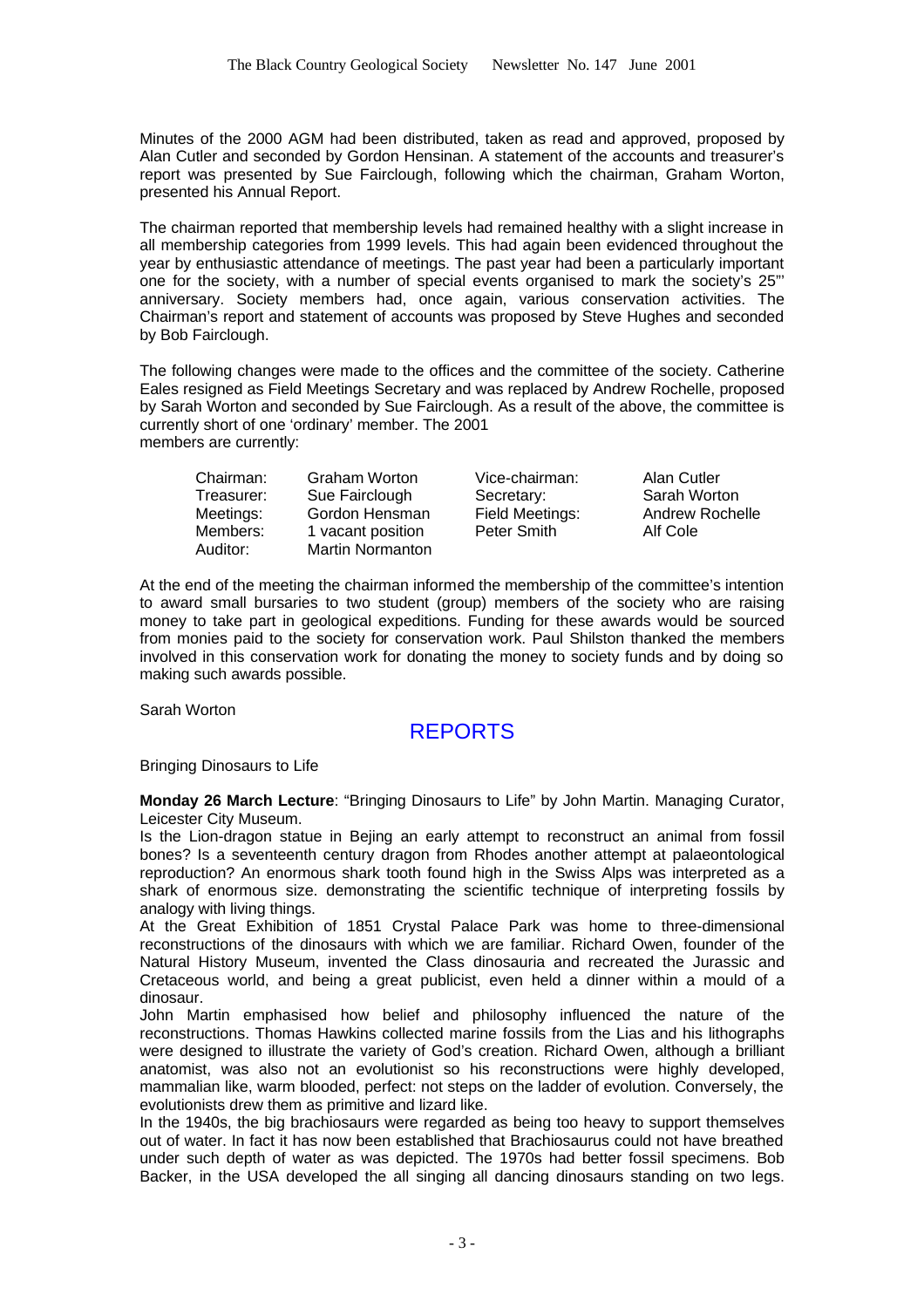Minutes of the 2000 AGM had been distributed, taken as read and approved, proposed by Alan Cutler and seconded by Gordon Hensinan. A statement of the accounts and treasurer's report was presented by Sue Fairclough, following which the chairman, Graham Worton, presented his Annual Report.

The chairman reported that membership levels had remained healthy with a slight increase in all membership categories from 1999 levels. This had again been evidenced throughout the year by enthusiastic attendance of meetings. The past year had been a particularly important one for the society, with a number of special events organised to mark the society's 25"' anniversary. Society members had, once again, various conservation activities. The Chairman's report and statement of accounts was proposed by Steve Hughes and seconded by Bob Fairclough.

The following changes were made to the offices and the committee of the society. Catherine Eales resigned as Field Meetings Secretary and was replaced by Andrew Rochelle, proposed by Sarah Worton and seconded by Sue Fairclough. As a result of the above, the committee is currently short of one 'ordinary' member. The 2001 members are currently:

Chairman: Graham Worton Vice-chairman: Alan Cutler Treasurer: Sue Fairclough Secretary: Sarah Worton Meetings: Gordon Hensman Field Meetings: Andrew Rochelle Members: 1 vacant position Peter Smith Alf Cole Auditor: Martin Normanton

At the end of the meeting the chairman informed the membership of the committee's intention to award small bursaries to two student (group) members of the society who are raising money to take part in geological expeditions. Funding for these awards would be sourced from monies paid to the society for conservation work. Paul Shilston thanked the members involved in this conservation work for donating the money to society funds and by doing so making such awards possible.

Sarah Worton

### REPORTS

Bringing Dinosaurs to Life

**Monday 26 March Lecture**: "Bringing Dinosaurs to Life" by John Martin. Managing Curator, Leicester City Museum.

Is the Lion-dragon statue in Bejing an early attempt to reconstruct an animal from fossil bones? Is a seventeenth century dragon from Rhodes another attempt at palaeontological reproduction? An enormous shark tooth found high in the Swiss Alps was interpreted as a shark of enormous size. demonstrating the scientific technique of interpreting fossils by analogy with living things.

At the Great Exhibition of 1851 Crystal Palace Park was home to three-dimensional reconstructions of the dinosaurs with which we are familiar. Richard Owen, founder of the Natural History Museum, invented the Class dinosauria and recreated the Jurassic and Cretaceous world, and being a great publicist, even held a dinner within a mould of a dinosaur.

John Martin emphasised how belief and philosophy influenced the nature of the reconstructions. Thomas Hawkins collected marine fossils from the Lias and his lithographs were designed to illustrate the variety of God's creation. Richard Owen, although a brilliant anatomist, was also not an evolutionist so his reconstructions were highly developed, mammalian like, warm blooded, perfect: not steps on the ladder of evolution. Conversely, the evolutionists drew them as primitive and lizard like.

In the 1940s, the big brachiosaurs were regarded as being too heavy to support themselves out of water. In fact it has now been established that Brachiosaurus could not have breathed under such depth of water as was depicted. The 1970s had better fossil specimens. Bob Backer, in the USA developed the all singing all dancing dinosaurs standing on two legs.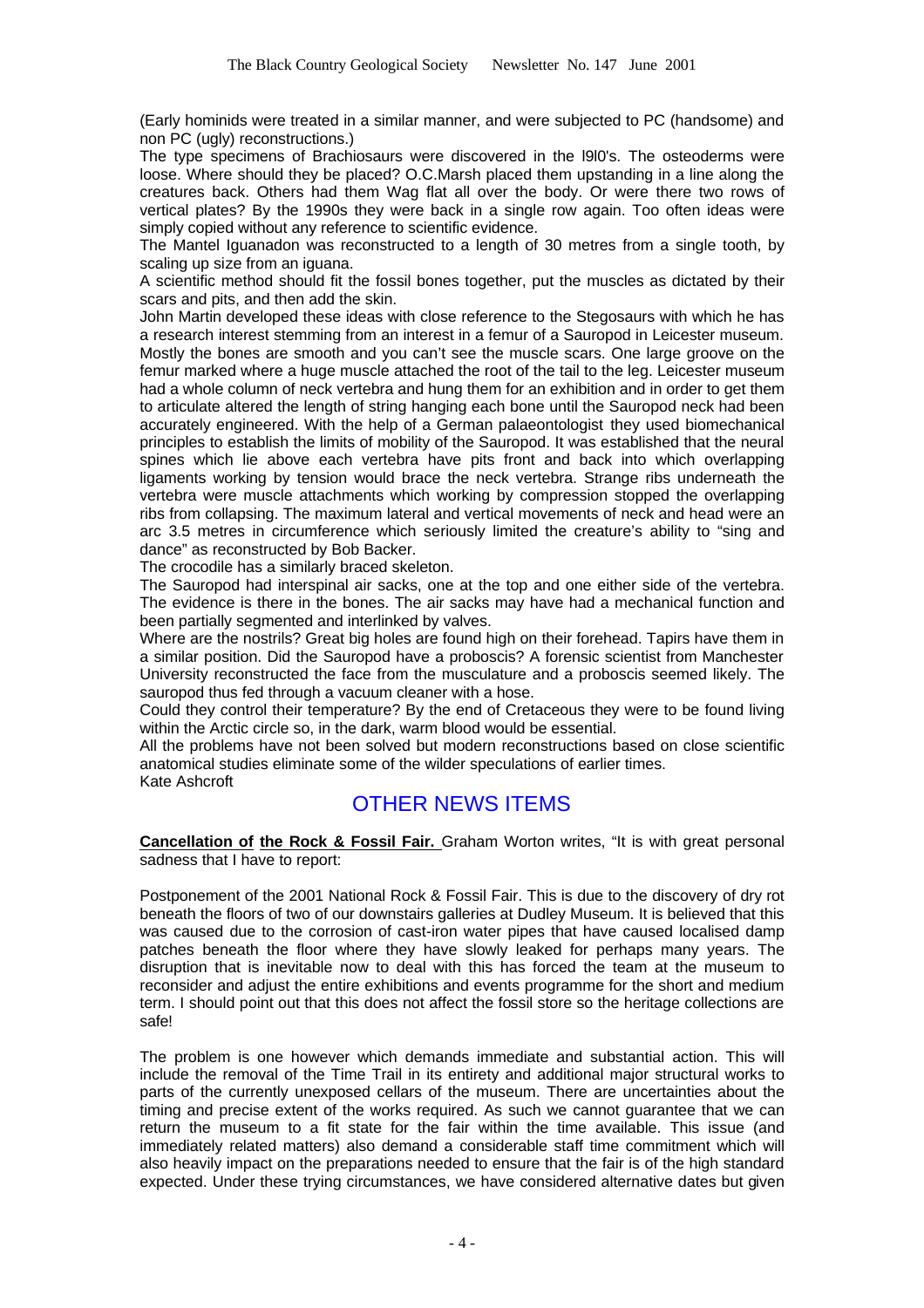(Early hominids were treated in a similar manner, and were subjected to PC (handsome) and non PC (ugly) reconstructions.)

The type specimens of Brachiosaurs were discovered in the l9l0's. The osteoderms were loose. Where should they be placed? O.C.Marsh placed them upstanding in a line along the creatures back. Others had them Wag flat all over the body. Or were there two rows of vertical plates? By the 1990s they were back in a single row again. Too often ideas were simply copied without any reference to scientific evidence.

The Mantel Iguanadon was reconstructed to a length of 30 metres from a single tooth, by scaling up size from an iguana.

A scientific method should fit the fossil bones together, put the muscles as dictated by their scars and pits, and then add the skin.

John Martin developed these ideas with close reference to the Stegosaurs with which he has a research interest stemming from an interest in a femur of a Sauropod in Leicester museum. Mostly the bones are smooth and you can't see the muscle scars. One large groove on the femur marked where a huge muscle attached the root of the tail to the leg. Leicester museum had a whole column of neck vertebra and hung them for an exhibition and in order to get them to articulate altered the length of string hanging each bone until the Sauropod neck had been accurately engineered. With the help of a German palaeontologist they used biomechanical principles to establish the limits of mobility of the Sauropod. It was established that the neural spines which lie above each vertebra have pits front and back into which overlapping ligaments working by tension would brace the neck vertebra. Strange ribs underneath the vertebra were muscle attachments which working by compression stopped the overlapping ribs from collapsing. The maximum lateral and vertical movements of neck and head were an arc 3.5 metres in circumference which seriously limited the creature's ability to "sing and dance" as reconstructed by Bob Backer.

The crocodile has a similarly braced skeleton.

The Sauropod had interspinal air sacks, one at the top and one either side of the vertebra. The evidence is there in the bones. The air sacks may have had a mechanical function and been partially segmented and interlinked by valves.

Where are the nostrils? Great big holes are found high on their forehead. Tapirs have them in a similar position. Did the Sauropod have a proboscis? A forensic scientist from Manchester University reconstructed the face from the musculature and a proboscis seemed likely. The sauropod thus fed through a vacuum cleaner with a hose.

Could they control their temperature? By the end of Cretaceous they were to be found living within the Arctic circle so, in the dark, warm blood would be essential.

All the problems have not been solved but modern reconstructions based on close scientific anatomical studies eliminate some of the wilder speculations of earlier times. Kate Ashcroft

#### OTHER NEWS ITEMS

**Cancellation of the Rock & Fossil Fair.** Graham Worton writes, "It is with great personal sadness that I have to report:

Postponement of the 2001 National Rock & Fossil Fair. This is due to the discovery of dry rot beneath the floors of two of our downstairs galleries at Dudley Museum. It is believed that this was caused due to the corrosion of cast-iron water pipes that have caused localised damp patches beneath the floor where they have slowly leaked for perhaps many years. The disruption that is inevitable now to deal with this has forced the team at the museum to reconsider and adjust the entire exhibitions and events programme for the short and medium term. I should point out that this does not affect the fossil store so the heritage collections are safe!

The problem is one however which demands immediate and substantial action. This will include the removal of the Time Trail in its entirety and additional major structural works to parts of the currently unexposed cellars of the museum. There are uncertainties about the timing and precise extent of the works required. As such we cannot guarantee that we can return the museum to a fit state for the fair within the time available. This issue (and immediately related matters) also demand a considerable staff time commitment which will also heavily impact on the preparations needed to ensure that the fair is of the high standard expected. Under these trying circumstances, we have considered alternative dates but given